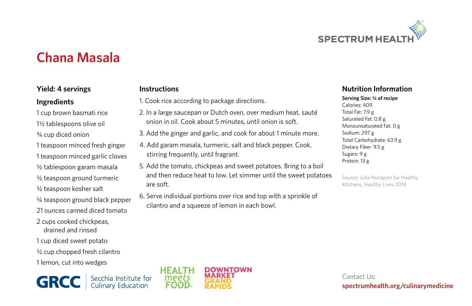

# **Chana Masala**

#### **Yield: 4 servings**

#### **Ingredients**

- 1 cup brown basmati rice
- 1½ tablespoons olive oil
- ¾ cup diced onion
- 1 teaspoon minced fresh ginger
- 1 teaspoon minced garlic cloves
- ½ tablespoon garam masala
- ½ teaspoon ground turmeric
- ½ teaspoon kosher salt
- ¼ teaspoon ground black pepper
- 21 ounces canned diced tomato
- 2 cups cooked chickpeas, drained and rinsed
- 1 cup diced sweet potato
- ½ cup chopped fresh cilantro
- 1 lemon, cut into wedges

**GRCC** Secchia Institute for

### **Instructions**

- 1. Cook rice according to package directions.
- 2. In a large saucepan or Dutch oven, over medium heat, sauté onion in oil. Cook about 5 minutes, until onion is soft.
- 3. Add the ginger and garlic, and cook for about 1 minute more.
- 4. Add garam masala, turmeric, salt and black pepper. Cook, stirring frequently, until fragrant.
- 5. Add the tomato, chickpeas and sweet potatoes. Bring to a boil and then reduce heat to low. Let simmer until the sweet potatoes are soft.
- 6. Serve individual portions over rice and top with a sprinkle of cilantro and a squeeze of lemon in each bowl.

#### **Nutrition Information**

#### **Serving Size: ¼ of recipe**

Calories: 409 Total Fat: 7.9 g Saturated Fat: 0.8 g Monounsaturated Fat: 0 g Sodium: 297 g Total Carbohydrate: 63.9 g Dietary Fiber: 9.5 g Sugars: 9 g Protein: 13 g

Source: Julia Nordgren for Healthy Kitchens, Healthy Lives 2018



Contact Us: **spectrumhealth.org/culinarymedicine**